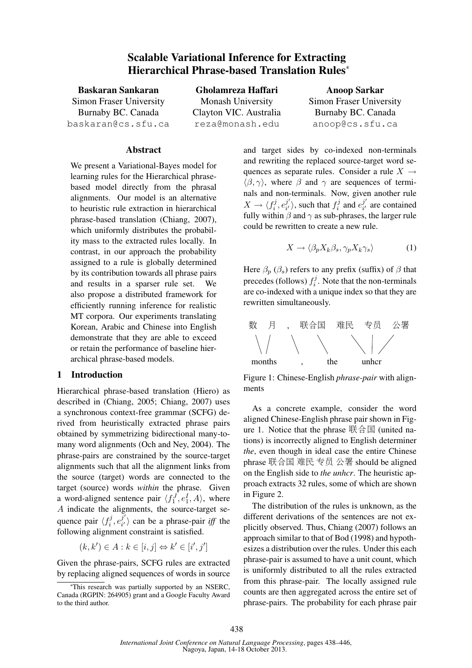# Scalable Variational Inference for Extracting Hierarchical Phrase-based Translation Rules<sup>∗</sup>

Baskaran Sankaran Simon Fraser University Burnaby BC. Canada baskaran@cs.sfu.ca

Gholamreza Haffari Monash University Clayton VIC. Australia reza@monash.edu

Anoop Sarkar Simon Fraser University Burnaby BC. Canada anoop@cs.sfu.ca

#### Abstract

We present a Variational-Bayes model for learning rules for the Hierarchical phrasebased model directly from the phrasal alignments. Our model is an alternative to heuristic rule extraction in hierarchical phrase-based translation (Chiang, 2007), which uniformly distributes the probability mass to the extracted rules locally. In contrast, in our approach the probability assigned to a rule is globally determined by its contribution towards all phrase pairs and results in a sparser rule set. We also propose a distributed framework for efficiently running inference for realistic MT corpora. Our experiments translating Korean, Arabic and Chinese into English demonstrate that they are able to exceed or retain the performance of baseline hierarchical phrase-based models.

#### 1 Introduction

Hierarchical phrase-based translation (Hiero) as described in (Chiang, 2005; Chiang, 2007) uses a synchronous context-free grammar (SCFG) derived from heuristically extracted phrase pairs obtained by symmetrizing bidirectional many-tomany word alignments (Och and Ney, 2004). The phrase-pairs are constrained by the source-target alignments such that all the alignment links from the source (target) words are connected to the target (source) words *within* the phrase. Given a word-aligned sentence pair  $\langle f_1^J, e_1^I, A \rangle$ , where A indicate the alignments, the source-target sequence pair  $\langle f_i^j \rangle$  $e^{j}_{i},e^{j^{\prime}}_{i^{\prime}}$  $\begin{bmatrix} \frac{J}{i'} \end{bmatrix}$  can be a phrase-pair *iff* the following alignment constraint is satisfied.

$$
(k, k') \in A : k \in [i, j] \Leftrightarrow k' \in [i', j']
$$

Given the phrase-pairs, SCFG rules are extracted by replacing aligned sequences of words in source

and target sides by co-indexed non-terminals and rewriting the replaced source-target word sequences as separate rules. Consider a rule  $X \rightarrow$  $\langle \beta, \gamma \rangle$ , where  $\beta$  and  $\gamma$  are sequences of terminals and non-terminals. Now, given another rule  $X \to \langle f_i^j$  $i^j, e_{i'}^{j'}$  $\binom{j'}{i'}$ , such that  $f_i^j$  $e_i^j$  and  $e_{i'}^{j'}$  $\frac{J}{i'}$  are contained fully within  $\beta$  and  $\gamma$  as sub-phrases, the larger rule could be rewritten to create a new rule.

$$
X \to \langle \beta_p X_k \beta_s, \gamma_p X_k \gamma_s \rangle \tag{1}
$$

Here  $\beta_p$  ( $\beta_s$ ) refers to any prefix (suffix) of  $\beta$  that precedes (follows)  $f_i^j$  $i<sup>j</sup>$ . Note that the non-terminals are co-indexed with a unique index so that they are rewritten simultaneously.



Figure 1: Chinese-English *phrase-pair* with alignments

As a concrete example, consider the word aligned Chinese-English phrase pair shown in Figure 1. Notice that the phrase  $\mathbb{R} \triangleq \mathbb{E}$  (united nations) is incorrectly aligned to English determiner *the*, even though in ideal case the entire Chinese phrase 联合国 难民 专员 公署 should be aligned on the English side to *the unhcr*. The heuristic approach extracts 32 rules, some of which are shown in Figure 2.

The distribution of the rules is unknown, as the different derivations of the sentences are not explicitly observed. Thus, Chiang (2007) follows an approach similar to that of Bod (1998) and hypothesizes a distribution over the rules. Under this each phrase-pair is assumed to have a unit count, which is uniformly distributed to all the rules extracted from this phrase-pair. The locally assigned rule counts are then aggregated across the entire set of phrase-pairs. The probability for each phrase pair

<sup>∗</sup>This research was partially supported by an NSERC, Canada (RGPIN: 264905) grant and a Google Faculty Award to the third author.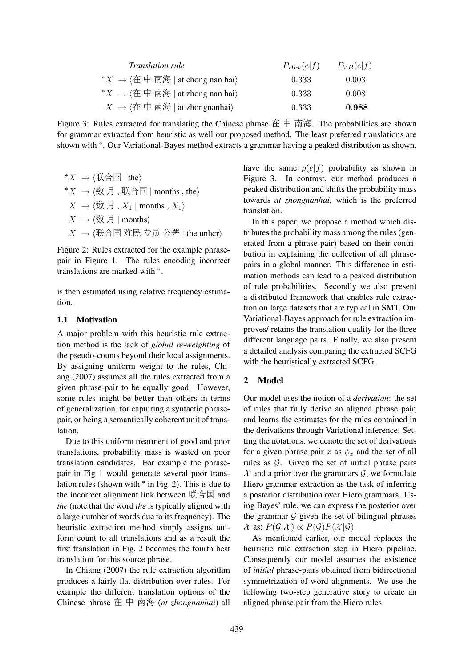| <i>Translation rule</i>                                                             | $P_{Heu}(e f)$ | $P_{VB}(e f)$ |
|-------------------------------------------------------------------------------------|----------------|---------------|
| * $X \rightarrow \langle \text{A} \oplus \text{B} \rangle$ at chong nan hai         | 0.333          | 0.003         |
| * $X \rightarrow \langle \text{A} \oplus \text{B} \rangle$ at zhong nan hai         | 0.333          | 0.008         |
| $X \rightarrow \langle \text{A} \oplus \text{B} \mid \text{at zhongnanhai} \rangle$ | 0.333          | 0.988         |

Figure 3: Rules extracted for translating the Chinese phrase 在 中 南海. The probabilities are shown for grammar extracted from heuristic as well our proposed method. The least preferred translations are shown with  $*$ . Our Variational-Bayes method extracts a grammar having a peaked distribution as shown.

\* $X \to \langle$ 联合国 | the $\rangle$  $*X \rightarrow \langle \text{1} \rangle$  月, 联合国 | months, the  $X \to \langle \text{th } , X_1 | \text{ months }, X_1 \rangle$  $X \rightarrow \langle \text{ } \sharp \rangle$  | months)  $X \rightarrow \langle$ 联合国 难民 专员 公署 | the unhcr $\rangle$ 

Figure 2: Rules extracted for the example phrasepair in Figure 1. The rules encoding incorrect translations are marked with <sup>∗</sup> .

is then estimated using relative frequency estimation.

#### 1.1 Motivation

A major problem with this heuristic rule extraction method is the lack of *global re-weighting* of the pseudo-counts beyond their local assignments. By assigning uniform weight to the rules, Chiang (2007) assumes all the rules extracted from a given phrase-pair to be equally good. However, some rules might be better than others in terms of generalization, for capturing a syntactic phrasepair, or being a semantically coherent unit of translation.

Due to this uniform treatment of good and poor translations, probability mass is wasted on poor translation candidates. For example the phrasepair in Fig 1 would generate several poor translation rules (shown with  $*$  in Fig. 2). This is due to the incorrect alignment link between 联合国 and *the* (note that the word *the* is typically aligned with a large number of words due to its frequency). The heuristic extraction method simply assigns uniform count to all translations and as a result the first translation in Fig. 2 becomes the fourth best translation for this source phrase.

In Chiang (2007) the rule extraction algorithm produces a fairly flat distribution over rules. For example the different translation options of the Chinese phrase 在 中 南海 (*at zhongnanhai*) all

have the same  $p(e|f)$  probability as shown in Figure 3. In contrast, our method produces a peaked distribution and shifts the probability mass towards *at zhongnanhai*, which is the preferred translation.

In this paper, we propose a method which distributes the probability mass among the rules (generated from a phrase-pair) based on their contribution in explaining the collection of all phrasepairs in a global manner. This difference in estimation methods can lead to a peaked distribution of rule probabilities. Secondly we also present a distributed framework that enables rule extraction on large datasets that are typical in SMT. Our Variational-Bayes approach for rule extraction improves/ retains the translation quality for the three different language pairs. Finally, we also present a detailed analysis comparing the extracted SCFG with the heuristically extracted SCFG.

## 2 Model

Our model uses the notion of a *derivation*: the set of rules that fully derive an aligned phrase pair, and learns the estimates for the rules contained in the derivations through Variational inference. Setting the notations, we denote the set of derivations for a given phrase pair x as  $\phi_x$  and the set of all rules as  $G$ . Given the set of initial phrase pairs  $X$  and a prior over the grammars  $G$ , we formulate Hiero grammar extraction as the task of inferring a posterior distribution over Hiero grammars. Using Bayes' rule, we can express the posterior over the grammar  $G$  given the set of bilingual phrases  $\mathcal X$  as:  $P(\mathcal G|\mathcal X) \propto P(\mathcal G) P(\mathcal X|\mathcal G)$ .

As mentioned earlier, our model replaces the heuristic rule extraction step in Hiero pipeline. Consequently our model assumes the existence of *initial* phrase-pairs obtained from bidirectional symmetrization of word alignments. We use the following two-step generative story to create an aligned phrase pair from the Hiero rules.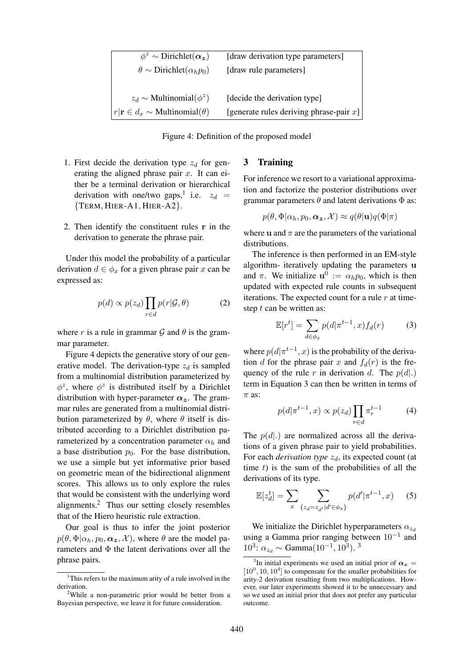| $\phi^z \sim$ Dirichlet( $\alpha_z$ )                 | [draw derivation type parameters]          |
|-------------------------------------------------------|--------------------------------------------|
| $\theta \sim \text{Dirichlet}(\alpha_h p_0)$          | [draw rule parameters]                     |
|                                                       |                                            |
| $z_d \sim$ Multinomial( $\phi^z$ )                    | [decide the derivation type]               |
| $r \mathbf{r}\in d_x \sim \text{Multinomial}(\theta)$ | [generate rules deriving phrase-pair $x$ ] |

Figure 4: Definition of the proposed model

- 1. First decide the derivation type  $z_d$  for generating the aligned phrase pair  $x$ . It can either be a terminal derivation or hierarchical derivation with one/two gaps,<sup>1</sup> i.e.  $z_d$  = {TERM, HIER-A1, HIER-A2}.
- 2. Then identify the constituent rules r in the derivation to generate the phrase pair.

Under this model the probability of a particular derivation  $d \in \phi_x$  for a given phrase pair x can be expressed as:

$$
p(d) \propto p(z_d) \prod_{r \in d} p(r | \mathcal{G}, \theta)
$$
 (2)

where r is a rule in grammar G and  $\theta$  is the grammar parameter.

Figure 4 depicts the generative story of our generative model. The derivation-type  $z_d$  is sampled from a multinomial distribution parameterized by  $\phi^z$ , where  $\phi^z$  is distributed itself by a Dirichlet distribution with hyper-parameter  $\alpha_z$ . The grammar rules are generated from a multinomial distribution parameterized by  $\theta$ , where  $\theta$  itself is distributed according to a Dirichlet distribution parameterized by a concentration parameter  $\alpha_h$  and a base distribution  $p_0$ . For the base distribution, we use a simple but yet informative prior based on geometric mean of the bidirectional alignment scores. This allows us to only explore the rules that would be consistent with the underlying word alignments.<sup>2</sup> Thus our setting closely resembles that of the Hiero heuristic rule extraction.

Our goal is thus to infer the joint posterior  $p(\theta, \Phi | \alpha_h, p_0, \alpha_z, \mathcal{X})$ , where  $\theta$  are the model parameters and  $\Phi$  the latent derivations over all the phrase pairs.

#### 3 Training

For inference we resort to a variational approximation and factorize the posterior distributions over grammar parameters  $\theta$  and latent derivations  $\Phi$  as:

$$
p(\theta, \Phi | \alpha_h, p_0, \alpha_{\bm{z}}, \mathcal{X}) \approx q(\theta | \mathbf{u}) q(\Phi | \pi)
$$

where **u** and  $\pi$  are the parameters of the variational distributions.

The inference is then performed in an EM-style algorithm- iteratively updating the parameters u and  $\pi$ . We initialize  $\mathbf{u}^0 := \alpha_h p_0$ , which is then updated with expected rule counts in subsequent iterations. The expected count for a rule  $r$  at timestep  $t$  can be written as:

$$
\mathbb{E}[r^t] = \sum_{d \in \phi_x} p(d|\pi^{t-1}, x) f_d(r) \tag{3}
$$

where  $p(d | \pi^{t-1}, x)$  is the probability of the derivation d for the phrase pair x and  $f_d(r)$  is the frequency of the rule r in derivation d. The  $p(d)$ . term in Equation 3 can then be written in terms of  $\pi$  as:

$$
p(d|\pi^{t-1},x) \propto p(z_d) \prod_{r \in d} \pi_r^{t-1} \tag{4}
$$

The  $p(d)$  are normalized across all the derivations of a given phrase pair to yield probabilities. For each *derivation type*  $z_d$ , its expected count (at time  $t$ ) is the sum of the probabilities of all the derivations of its type.

$$
\mathbb{E}[z_d^t] = \sum_{x} \sum_{\{z_d = z_{d'} | d' \in \phi_x\}} p(d' | \pi^{t-1}, x)
$$
 (5)

We initialize the Dirichlet hyperparameters  $\alpha_{z_d}$ using a Gamma prior ranging between  $10^{-1}$  and 10<sup>3</sup>:  $\alpha_{z_d} \sim \text{Gamma}(10^{-1}, 10^3)$ . <sup>3</sup>

<sup>&</sup>lt;sup>1</sup>This refers to the maximum arity of a rule involved in the derivation.

<sup>&</sup>lt;sup>2</sup>While a non-parametric prior would be better from a Bayesian perspective, we leave it for future consideration.

<sup>&</sup>lt;sup>3</sup>In initial experiments we used an initial prior of  $\alpha_z =$  $[10^0, 10, 10^4]$  to compensate for the smaller probabilities for arity-2 derivation resulting from two multiplications. However, our later experiments showed it to be unnecessary and so we used an initial prior that does not prefer any particular outcome.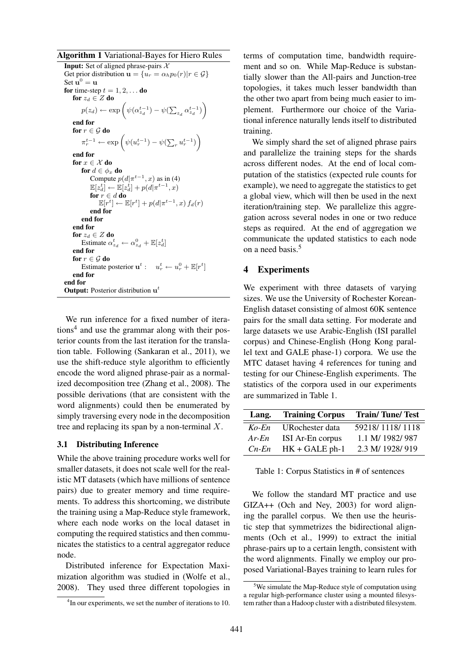Algorithm 1 Variational-Bayes for Hiero Rules

```
Input: Set of aligned phrase-pairs \chiGet prior distribution \mathbf{u} = \{u_r = \alpha_h p_0(r) | r \in \mathcal{G}\}\Set \mathbf{u}^0 = \mathbf{u}for time-step t = 1, 2, \dots do
    for z_d \in Z do
          p(z_d) \leftarrow \exp\left(\psi(\alpha_{z_d}^{t-1}) - \psi(\sum_{z_d} \alpha_{z_d}^{t-1})\right)end for
    for r \in \mathcal{G} do
          \pi_r^{t-1} \leftarrow \exp\left(\psi(u_r^{t-1}) - \psi(\sum_r u_r^{t-1})\right)end for
    for x \in \mathcal{X} do
         for d \in \phi_x do
              Compute p(d | \pi^{t-1}, x) as in (4)
              \mathbb{E}[z_d^t] \leftarrow \mathbb{E}[z_d^t] + p(d|\pi^{t-1},x)for r \in d do
                   \mathbb{E}[r^t] \leftarrow \mathbb{E}[r^t] + p(d | \pi^{t-1}, x) f_d(r)end for
         end for
    end for
    for z_d \in Z do
          Estimate \alpha_{z_d}^t \leftarrow \alpha_{z_d}^0 + \mathbb{E}[z_d^t]end for
    for r \in \mathcal{G} do
          Estimate posterior \mathbf{u}^t : u^t_r \leftarrow u^0_r + \mathbb{E}[r^t]end for
end for
Output: Posterior distribution \mathbf{u}^t
```
We run inference for a fixed number of iterations<sup>4</sup> and use the grammar along with their posterior counts from the last iteration for the translation table. Following (Sankaran et al., 2011), we use the shift-reduce style algorithm to efficiently encode the word aligned phrase-pair as a normalized decomposition tree (Zhang et al., 2008). The possible derivations (that are consistent with the word alignments) could then be enumerated by simply traversing every node in the decomposition tree and replacing its span by a non-terminal  $X$ .

#### 3.1 Distributing Inference

While the above training procedure works well for smaller datasets, it does not scale well for the realistic MT datasets (which have millions of sentence pairs) due to greater memory and time requirements. To address this shortcoming, we distribute the training using a Map-Reduce style framework, where each node works on the local dataset in computing the required statistics and then communicates the statistics to a central aggregator reduce node.

Distributed inference for Expectation Maximization algorithm was studied in (Wolfe et al., 2008). They used three different topologies in terms of computation time, bandwidth requirement and so on. While Map-Reduce is substantially slower than the All-pairs and Junction-tree topologies, it takes much lesser bandwidth than the other two apart from being much easier to implement. Furthermore our choice of the Variational inference naturally lends itself to distributed training.

We simply shard the set of aligned phrase pairs and parallelize the training steps for the shards across different nodes. At the end of local computation of the statistics (expected rule counts for example), we need to aggregate the statistics to get a global view, which will then be used in the next iteration/training step. We parallelize this aggregation across several nodes in one or two reduce steps as required. At the end of aggregation we communicate the updated statistics to each node on a need basis.<sup>5</sup>

### 4 Experiments

We experiment with three datasets of varying sizes. We use the University of Rochester Korean-English dataset consisting of almost 60K sentence pairs for the small data setting. For moderate and large datasets we use Arabic-English (ISI parallel corpus) and Chinese-English (Hong Kong parallel text and GALE phase-1) corpora. We use the MTC dataset having 4 references for tuning and testing for our Chinese-English experiments. The statistics of the corpora used in our experiments are summarized in Table 1.

| Lang.    | <b>Training Corpus</b> | <b>Train/Tune/Test</b> |
|----------|------------------------|------------------------|
| $Ko$ -En | URochester data        | 59218/1118/1118        |
| $Ar$ -En | ISI Ar-En corpus       | 1.1 M/ 1982/ 987       |
| $Cn-En$  | $HK + GALE$ ph-1       | 2.3 M/ 1928/919        |

Table 1: Corpus Statistics in # of sentences

We follow the standard MT practice and use GIZA++ (Och and Ney, 2003) for word aligning the parallel corpus. We then use the heuristic step that symmetrizes the bidirectional alignments (Och et al., 1999) to extract the initial phrase-pairs up to a certain length, consistent with the word alignments. Finally we employ our proposed Variational-Bayes training to learn rules for

<sup>&</sup>lt;sup>4</sup>In our experiments, we set the number of iterations to 10.

 $5$ We simulate the Map-Reduce style of computation using a regular high-performance cluster using a mounted filesystem rather than a Hadoop cluster with a distributed filesystem.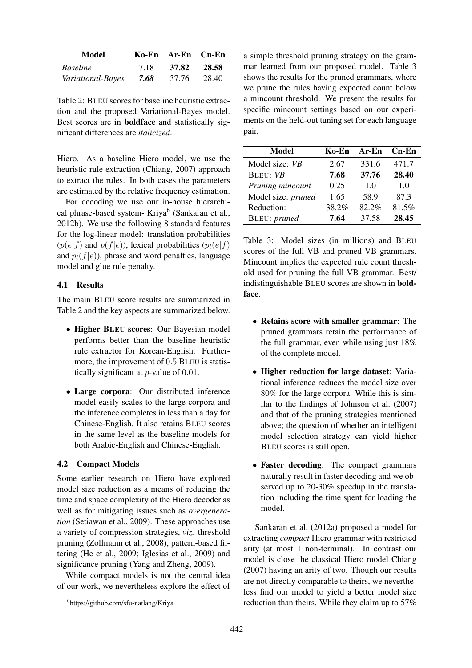| Model             |      | Ko-En Ar-En Cn-En |       |
|-------------------|------|-------------------|-------|
| <b>Baseline</b>   | 7.18 | 37.82             | 28.58 |
| Variational-Bayes | 7.68 | 37.76             | 28.40 |

Table 2: BLEU scores for baseline heuristic extraction and the proposed Variational-Bayes model. Best scores are in boldface and statistically significant differences are *italicized*.

Hiero. As a baseline Hiero model, we use the heuristic rule extraction (Chiang, 2007) approach to extract the rules. In both cases the parameters are estimated by the relative frequency estimation.

For decoding we use our in-house hierarchical phrase-based system- Kriya<sup>6</sup> (Sankaran et al., 2012b). We use the following 8 standard features for the log-linear model: translation probabilities  $(p(e|f)$  and  $p(f|e)$ ), lexical probabilities  $(p_l(e|f))$ and  $p_l(f|e)$ ), phrase and word penalties, language model and glue rule penalty.

#### 4.1 Results

The main BLEU score results are summarized in Table 2 and the key aspects are summarized below.

- Higher BLEU scores: Our Bayesian model performs better than the baseline heuristic rule extractor for Korean-English. Furthermore, the improvement of 0.5 BLEU is statistically significant at p-value of 0.01.
- Large corpora: Our distributed inference model easily scales to the large corpora and the inference completes in less than a day for Chinese-English. It also retains BLEU scores in the same level as the baseline models for both Arabic-English and Chinese-English.

#### 4.2 Compact Models

Some earlier research on Hiero have explored model size reduction as a means of reducing the time and space complexity of the Hiero decoder as well as for mitigating issues such as *overgeneration* (Setiawan et al., 2009). These approaches use a variety of compression strategies, *viz.* threshold pruning (Zollmann et al., 2008), pattern-based filtering (He et al., 2009; Iglesias et al., 2009) and significance pruning (Yang and Zheng, 2009).

While compact models is not the central idea of our work, we nevertheless explore the effect of a simple threshold pruning strategy on the grammar learned from our proposed model. Table 3 shows the results for the pruned grammars, where we prune the rules having expected count below a mincount threshold. We present the results for specific mincount settings based on our experiments on the held-out tuning set for each language pair.

| Model              | Ko-En | Ar-En | $Cn$ -En       |
|--------------------|-------|-------|----------------|
| Model size: VB     | 2.67  | 331.6 | 471.7          |
| <b>BLEU: VB</b>    | 7.68  | 37.76 | 28.40          |
| Pruning mincount   | 0.25  | 1.0   | 1 <sub>0</sub> |
| Model size: pruned | 1.65  | 58.9  | 87.3           |
| Reduction:         | 38.2% | 82.2% | 81.5%          |
| BLEU: pruned       | 7.64  | 37.58 | 28.45          |

Table 3: Model sizes (in millions) and BLEU scores of the full VB and pruned VB grammars. Mincount implies the expected rule count threshold used for pruning the full VB grammar. Best/ indistinguishable BLEU scores are shown in boldface.

- Retains score with smaller grammar: The pruned grammars retain the performance of the full grammar, even while using just 18% of the complete model.
- Higher reduction for large dataset: Variational inference reduces the model size over 80% for the large corpora. While this is similar to the findings of Johnson et al. (2007) and that of the pruning strategies mentioned above; the question of whether an intelligent model selection strategy can yield higher BLEU scores is still open.
- Faster decoding: The compact grammars naturally result in faster decoding and we observed up to 20-30% speedup in the translation including the time spent for loading the model.

Sankaran et al. (2012a) proposed a model for extracting *compact* Hiero grammar with restricted arity (at most 1 non-terminal). In contrast our model is close the classical Hiero model Chiang (2007) having an arity of two. Though our results are not directly comparable to theirs, we nevertheless find our model to yield a better model size reduction than theirs. While they claim up to 57%

<sup>6</sup> https://github.com/sfu-natlang/Kriya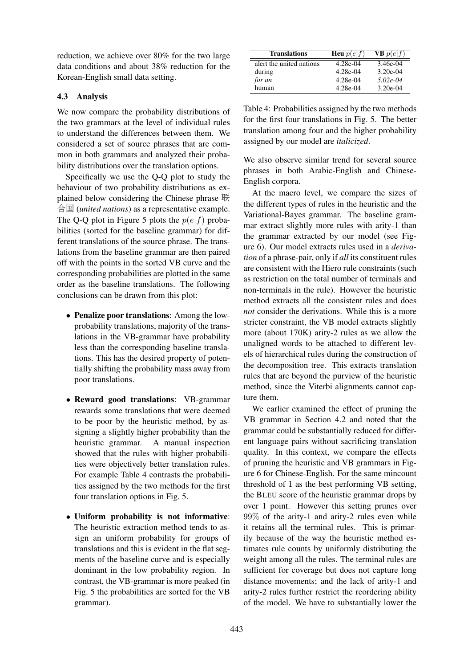reduction, we achieve over 80% for the two large data conditions and about 38% reduction for the Korean-English small data setting.

#### 4.3 Analysis

We now compare the probability distributions of the two grammars at the level of individual rules to understand the differences between them. We considered a set of source phrases that are common in both grammars and analyzed their probability distributions over the translation options.

Specifically we use the Q-Q plot to study the behaviour of two probability distributions as explained below considering the Chinese phrase 联 合国 (*united nations*) as a representative example. The Q-Q plot in Figure 5 plots the  $p(e|f)$  probabilities (sorted for the baseline grammar) for different translations of the source phrase. The translations from the baseline grammar are then paired off with the points in the sorted VB curve and the corresponding probabilities are plotted in the same order as the baseline translations. The following conclusions can be drawn from this plot:

- Penalize poor translations: Among the lowprobability translations, majority of the translations in the VB-grammar have probability less than the corresponding baseline translations. This has the desired property of potentially shifting the probability mass away from poor translations.
- Reward good translations: VB-grammar rewards some translations that were deemed to be poor by the heuristic method, by assigning a slightly higher probability than the heuristic grammar. A manual inspection showed that the rules with higher probabilities were objectively better translation rules. For example Table 4 contrasts the probabilities assigned by the two methods for the first four translation options in Fig. 5.
- Uniform probability is not informative: The heuristic extraction method tends to assign an uniform probability for groups of translations and this is evident in the flat segments of the baseline curve and is especially dominant in the low probability region. In contrast, the VB-grammar is more peaked (in Fig. 5 the probabilities are sorted for the VB grammar).

| <b>Translations</b>      | <b>Heu</b> $p(e f)$ | <b>VB</b> $p(e f)$ |
|--------------------------|---------------------|--------------------|
| alert the united nations | 4.28e-04            | 3.46e-04           |
| during                   | 4.28e-04            | $3.20e-04$         |
| for un                   | 4.28e-04            | $5.02e-04$         |
| human                    | 4.28e-04            | $3.20e-04$         |

Table 4: Probabilities assigned by the two methods for the first four translations in Fig. 5. The better translation among four and the higher probability assigned by our model are *italicized*.

We also observe similar trend for several source phrases in both Arabic-English and Chinese-English corpora.

At the macro level, we compare the sizes of the different types of rules in the heuristic and the Variational-Bayes grammar. The baseline grammar extract slightly more rules with arity-1 than the grammar extracted by our model (see Figure 6). Our model extracts rules used in a *derivation* of a phrase-pair, only if *all* its constituent rules are consistent with the Hiero rule constraints (such as restriction on the total number of terminals and non-terminals in the rule). However the heuristic method extracts all the consistent rules and does *not* consider the derivations. While this is a more stricter constraint, the VB model extracts slightly more (about 170K) arity-2 rules as we allow the unaligned words to be attached to different levels of hierarchical rules during the construction of the decomposition tree. This extracts translation rules that are beyond the purview of the heuristic method, since the Viterbi alignments cannot capture them.

We earlier examined the effect of pruning the VB grammar in Section 4.2 and noted that the grammar could be substantially reduced for different language pairs without sacrificing translation quality. In this context, we compare the effects of pruning the heuristic and VB grammars in Figure 6 for Chinese-English. For the same mincount threshold of 1 as the best performing VB setting, the BLEU score of the heuristic grammar drops by over 1 point. However this setting prunes over 99% of the arity-1 and arity-2 rules even while it retains all the terminal rules. This is primarily because of the way the heuristic method estimates rule counts by uniformly distributing the weight among all the rules. The terminal rules are sufficient for coverage but does not capture long distance movements; and the lack of arity-1 and arity-2 rules further restrict the reordering ability of the model. We have to substantially lower the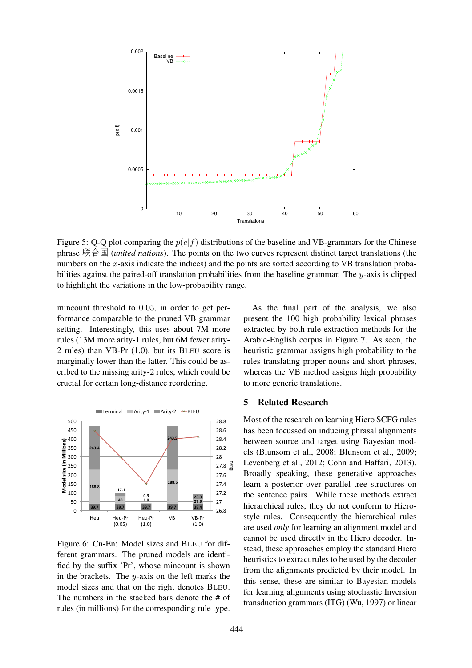

Figure 5: Q-Q plot comparing the  $p(e|f)$  distributions of the baseline and VB-grammars for the Chinese phrase 联合国 (*united nations*). The points on the two curves represent distinct target translations (the numbers on the x-axis indicate the indices) and the points are sorted according to VB translation probabilities against the paired-off translation probabilities from the baseline grammar. The  $y$ -axis is clipped to highlight the variations in the low-probability range.

mincount threshold to 0.05, in order to get performance comparable to the pruned VB grammar setting. Interestingly, this uses about 7M more rules (13M more arity-1 rules, but 6M fewer arity-2 rules) than VB-Pr (1.0), but its BLEU score is marginally lower than the latter. This could be ascribed to the missing arity-2 rules, which could be crucial for certain long-distance reordering.



Figure 6: Cn-En: Model sizes and BLEU for different grammars. The pruned models are identified by the suffix 'Pr', whose mincount is shown in the brackets. The  $y$ -axis on the left marks the model sizes and that on the right denotes BLEU. The numbers in the stacked bars denote the # of rules (in millions) for the corresponding rule type.

As the final part of the analysis, we also present the 100 high probability lexical phrases extracted by both rule extraction methods for the Arabic-English corpus in Figure 7. As seen, the heuristic grammar assigns high probability to the rules translating proper nouns and short phrases, whereas the VB method assigns high probability to more generic translations.

### 5 Related Research

Most of the research on learning Hiero SCFG rules has been focussed on inducing phrasal alignments between source and target using Bayesian models (Blunsom et al., 2008; Blunsom et al., 2009; Levenberg et al., 2012; Cohn and Haffari, 2013). Broadly speaking, these generative approaches learn a posterior over parallel tree structures on the sentence pairs. While these methods extract hierarchical rules, they do not conform to Hierostyle rules. Consequently the hierarchical rules are used *only* for learning an alignment model and cannot be used directly in the Hiero decoder. Instead, these approaches employ the standard Hiero heuristics to extract rules to be used by the decoder from the alignments predicted by their model. In this sense, these are similar to Bayesian models for learning alignments using stochastic Inversion transduction grammars (ITG) (Wu, 1997) or linear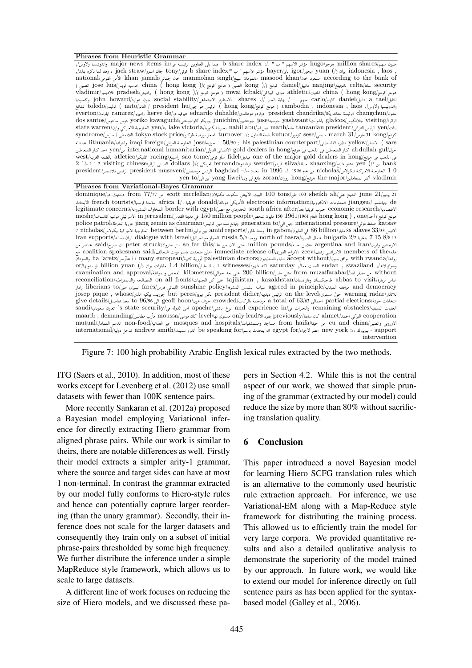#### **Phrases from Heuristic Grammar**

مليون سهم/million shares هوجو/hugo مؤشر الاسهم " ب " :/: " b share index فيما يلى العناوين الرئيسية فى/in index واندونيسيا ولاوس/, , laos , indonesia يوان (/) yuan ايجور/igor باير/bayer مؤشر الاسهم " ب "/index share b تونى/tony جاك استرو/straw jack ، وفقا لما ذكره بنك,/ national/القومى منٔالا khan jamali/جمالى خان manmohan singh/سينغ مانموهان masood khan/خان مسعود according to the bank of security سلتا/celta نانجينغ/nanjing دانييل/daniel كونج )/( kong الصين ( هونج كونج )/( kong hong ( china خوسيه لويس/luis jose الصين ( vladimir/فلاديمير pradesh/براديش ) hong kong )/( كونج هونج ( mwai kibaki/كيباكى مواى athletic/اتلتيك china ( hong kong/كونج هونج للتايل/tael a دانيل/daniel كارلو/carlo سهم . / نهاية الخبر .// shares الاستقرار الاجتماعى/stability social جون هوارد/howard john وكمبوديا واندونيسيا ولاوس,/ laos , indonesia , cambodia ) هونج كونج/kong hong ( الرئيس هو جين/hu president / الناتو/nato ( توليدو/toledo تشانغ تشون/changchun الرئيسة تشاندريكا/chandrika president ادواردو دوهالدى/duhalde eduardo هيرفيه دو/de herve راميريز/ramirez ايفرتون/everton الزائرة/visiting جلافكوس/glafcos ياشوانت/yashwant خوسيه/jose جونتشيرو/junichiro يوريكو كاواجوتشى/kawaguchi yoriko دوس سانتوس/santos dos ينات/yen الرئيس التنزانى/president tanzanian مانه/manh نبيل ابو/abu nabil بحيرة فيكتوريا/victoria lake ينا/yen الخارجية الاميركي وارن/warren state كونج/a1 kong دارس31 kong سيسي/sese كوفور/kufuor قيمة التداول :/: turnover اسعار بورصة طوكيو/cong tokyo stock price اللانمطى/ سارس/syndrome عبدالله lithuania/وليتوانيا iraqi foreign/العراقى الخارجية jose/جوزيه : 50/50 : his palestinian counterpart/الفلسطينى نظيره yellow/الاصفر ) sars جول/gul abdullah كبار المتعاملين فى الذهب فى هونج/hong in dealers gold الانسانى الدولى/humanitarian international ين/yen احد كبار المتعاملين west/الغربية بالضفة atletico/اتلتيكو racing/راسينغ sao tome/تومى ساو fidel/فيديل one of the major gold dealers in hong/هونج فى الذهب فى bank ين //) yen تشاو شينغ/zhaoxing سيلفا/silva فيردر/werder فرناندو/fernando امريكى )/( dollars الصينى الزائر/chinese visiting 2 1 1 1/- 2 0 1 الخارجية الاميركية نيكولاس/nicholas فى عام 1996 ./. 1996 in بغداد /--– baghdad الرئيس موسيفينى/museveni president الرئيس فلاديمير/president vladimir أكبر المتعاملين/major the هونج/hong زوران/zoran يانغ لى وى/liwei yang ين الى/to yen

#### **Phrases from Variational-Bayes Grammar**

21 يونيو/21 June الشيخ علي/ali sheikh ali طن/tons البيت الابيض سكوت مكليلان/scott mcclellan من 17/77 from دومنيك دو/dominique الشيخ علي de جيانغسو //jiangsu المعلومات الالكترونية/information electronic الأمريكى دونالد/donald افريقيا 1/1 africa سائحا فرنسيا/tourists french الابحاث legitimate concerns/المشروعة المخاوف border with egypt/مصر مع الحدودي south africa after/بعد افريقيا جنوب economic research/الاقتصادية هونج كونج ) أحد/hong kong ) , one العام 1961/1961 مليون شخص/moshe و عليه 150 في مدينة القدس/in jerusalem الاسرائيلي موشيه كاتساف/moshe police patrol/الشرطة دورية jiang zemin as chairman/كرئيس مين تسه جيانغ generation to/الى جيل international pressure/دولي ضغط katsav الافيس 33/33 alaves 86 مليار/billion 86 في الغابون/gabon in وسط تقارير/reports amid بين برلين/berlin between الخارجية الاميركية نيكولاس/nicholas 7 iran supports/تساند ايران dialogue with israel/اسرائيل مع الحوار russia 5/5 روسيا north of basra/البصرة شمال bulgaria 2/2 بلغاريا 7 15 8/8 15 الارجنتين وايران/iran and argentina ملايين جنيه/pounds million حتى الان من هذا/this far so بيتر ستروك/struck peter ان صرح/said عناصر من هذه/the of members الاسرائيلي زئيف/zeev الافراج الفورى/of release immediate اعلن متحدث باسم قوات التحالف/said spokesman coalition مع رواندا/with توافق بدون/with توافق بدون/doctors اطباء فلسطينيون/palestinian doctors أوربية كثيرة/european الروانات العام العام فلسطينيون/doctors اطباء فلسطينيون/doctors والسودان وسوانيلاندار, swaziland السبت ممار, saturday اكد شهود/saturday 1.4 مليار/billion yuan (/) مليارات يوان (/) billion yuan او بدونها/or without من مظفر اباد/muzaffarabad from مئتي مليار/billion 200 على بعد حوالي/kilometres الفحص والموافقة/approval and examination عباس لزيارة/visit to abbas طاجيكستان وقازاقستان/kazakhstan , tajikistan على كل الجبهات/fronts all on المصالحة والديمقراطية/reconciliation democracy and موافقته المبدئية/principle in agreed سياسة الشمس المشرقة/policy sunshine اللبناني فارس/fares ليبيرى على/to liberians رادار josep pique , whose/الذي بيكيه جوزيب but peres/بيريز لكن president didier/ديدييه الرئيس on the level/مستوى حول warning radar/للانذار give details/ يعونه total of 63/63 اجعالي a total of 63/63 مودحمة بالركاب/crowded جوف هون(geoff hoon ابن هوف ولا) معط تفاصيل من المجموع ومزد و المركاب العقبات المتبقية/obstacles remaining والخبرات في/in experience and نوع اباتشي/apache امن الدولة في/security state s 'تعاون سعودي/saudi cooperation التركي احمد/ahmet كان سابقا/previously يقود الا/lead only مستوى لها/level كان موسى/moussa مأرب مطالبين/demanding , maarib mutual/الأوروبي والصين/eu and china من حيفا/from haifa مساجد ومستشفيات/mosques and hospitals مير الغذائية/mon-food الدعم العتبادل/mutual international/أندولية اندولية اندولية اندولية اندولية تصدر انه انه يتحدث باسم be speaking for/ اندرو سميث andrew smith/ تدخل دولية المصر new york . intervention

Figure 7: 100 high probability Arabic-English lexical rules extracted by the two methods.

ITG (Saers et al., 2010). In addition, most of these works except for Levenberg et al. (2012) use small datasets with fewer than 100K sentence pairs.

More recently Sankaran et al. (2012a) proposed a Bayesian model employing Variational inference for directly extracting Hiero grammar from aligned phrase pairs. While our work is similar to theirs, there are notable differences as well. Firstly their model extracts a simpler arity-1 grammar, where the source and target sides can have at most 1 non-terminal. In contrast the grammar extracted by our model fully conforms to Hiero-style rules and hence can potentially capture larger reordering (than the unary grammar). Secondly, their inference does not scale for the larger datasets and consequently they train only on a subset of initial phrase-pairs thresholded by some high frequency. We further distribute the inference under a simple MapReduce style framework, which allows us to scale to large datasets.

A different line of work focuses on reducing the size of Hiero models, and we discussed these papers in Section 4.2. While this is not the central aspect of our work, we showed that simple pruning of the grammar (extracted by our model) could reduce the size by more than 80% without sacrificing translation quality.

#### 6 Conclusion

This paper introduced a novel Bayesian model for learning Hiero SCFG translation rules which is an alternative to the commonly used heuristic rule extraction approach. For inference, we use Variational-EM along with a Map-Reduce style framework for distributing the training process. This allowed us to efficiently train the model for very large corpora. We provided quantitative results and also a detailed qualitative analysis to demonstrate the superiority of the model trained by our approach. In future work, we would like to extend our model for inference directly on full sentence pairs as has been applied for the syntaxbased model (Galley et al., 2006).